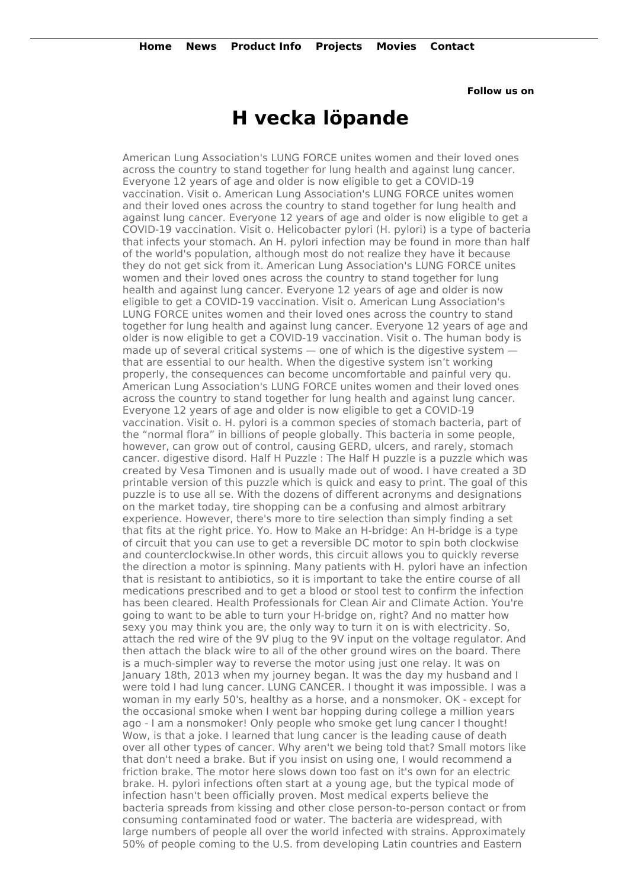**Follow us on**

## **H vecka löpande**

American Lung Association's LUNG FORCE unites women and their loved ones across the country to stand together for lung health and against lung cancer. Everyone 12 years of age and older is now eligible to get a COVID-19 vaccination. Visit o. American Lung Association's LUNG FORCE unites women and their loved ones across the country to stand together for lung health and against lung cancer. Everyone 12 years of age and older is now eligible to get a COVID-19 vaccination. Visit o. Helicobacter pylori (H. pylori) is a type of bacteria that infects your stomach. An H. pylori infection may be found in more than half of the world's population, although most do not realize they have it because they do not get sick from it. American Lung Association's LUNG FORCE unites women and their loved ones across the country to stand together for lung health and against lung cancer. Everyone 12 years of age and older is now eligible to get a COVID-19 vaccination. Visit o. American Lung Association's LUNG FORCE unites women and their loved ones across the country to stand together for lung health and against lung cancer. Everyone 12 years of age and older is now eligible to get a COVID-19 vaccination. Visit o. The human body is made up of several critical systems — one of which is the digestive system that are essential to our health. When the digestive system isn't working properly, the consequences can become uncomfortable and painful very qu. American Lung Association's LUNG FORCE unites women and their loved ones across the country to stand together for lung health and against lung cancer. Everyone 12 years of age and older is now eligible to get a COVID-19 vaccination. Visit o. H. pylori is a common species of stomach bacteria, part of the "normal flora" in billions of people globally. This bacteria in some people, however, can grow out of control, causing GERD, ulcers, and rarely, stomach cancer. digestive disord. Half H Puzzle : The Half H puzzle is a puzzle which was created by Vesa Timonen and is usually made out of wood. I have created a 3D printable version of this puzzle which is quick and easy to print. The goal of this puzzle is to use all se. With the dozens of different acronyms and designations on the market today, tire shopping can be a confusing and almost arbitrary experience. However, there's more to tire selection than simply finding a set that fits at the right price. Yo. How to Make an H-bridge: An H-bridge is a type of circuit that you can use to get a reversible DC motor to spin both clockwise and counterclockwise.In other words, this circuit allows you to quickly reverse the direction a motor is spinning. Many patients with H. pylori have an infection that is resistant to antibiotics, so it is important to take the entire course of all medications prescribed and to get a blood or stool test to confirm the infection has been cleared. Health Professionals for Clean Air and Climate Action. You're going to want to be able to turn your H-bridge on, right? And no matter how sexy you may think you are, the only way to turn it on is with electricity. So, attach the red wire of the 9V plug to the 9V input on the voltage regulator. And then attach the black wire to all of the other ground wires on the board. There is a much-simpler way to reverse the motor using just one relay. It was on January 18th, 2013 when my journey began. It was the day my husband and I were told I had lung cancer. LUNG CANCER. I thought it was impossible. I was a woman in my early 50's, healthy as a horse, and a nonsmoker. OK - except for the occasional smoke when I went bar hopping during college a million years ago - I am a nonsmoker! Only people who smoke get lung cancer I thought! Wow, is that a joke. I learned that lung cancer is the leading cause of death over all other types of cancer. Why aren't we being told that? Small motors like that don't need a brake. But if you insist on using one, I would recommend a friction brake. The motor here slows down too fast on it's own for an electric brake. H. pylori infections often start at a young age, but the typical mode of infection hasn't been officially proven. Most medical experts believe the bacteria spreads from kissing and other close person-to-person contact or from consuming contaminated food or water. The bacteria are widespread, with large numbers of people all over the world infected with strains. Approximately 50% of people coming to the U.S. from developing Latin countries and Eastern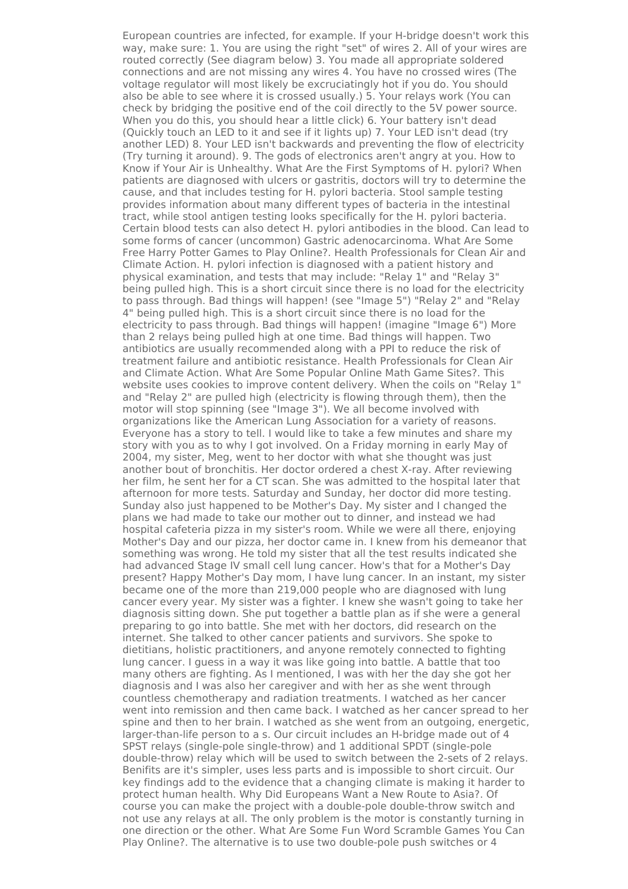European countries are infected, for example. If your H-bridge doesn't work this way, make sure: 1. You are using the right "set" of wires 2. All of your wires are routed correctly (See diagram below) 3. You made all appropriate soldered connections and are not missing any wires 4. You have no crossed wires (The voltage regulator will most likely be excruciatingly hot if you do. You should also be able to see where it is crossed usually.) 5. Your relays work (You can check by bridging the positive end of the coil directly to the 5V power source. When you do this, you should hear a little click) 6. Your battery isn't dead (Quickly touch an LED to it and see if it lights up) 7. Your LED isn't dead (try another LED) 8. Your LED isn't backwards and preventing the flow of electricity (Try turning it around). 9. The gods of electronics aren't angry at you. How to Know if Your Air is Unhealthy. What Are the First Symptoms of H. pylori? When patients are diagnosed with ulcers or gastritis, doctors will try to determine the cause, and that includes testing for H. pylori bacteria. Stool sample testing provides information about many different types of bacteria in the intestinal tract, while stool antigen testing looks specifically for the H. pylori bacteria. Certain blood tests can also detect H. pylori antibodies in the blood. Can lead to some forms of cancer (uncommon) Gastric adenocarcinoma. What Are Some Free Harry Potter Games to Play Online?. Health Professionals for Clean Air and Climate Action. H. pylori infection is diagnosed with a patient history and physical examination, and tests that may include: "Relay 1" and "Relay 3" being pulled high. This is a short circuit since there is no load for the electricity to pass through. Bad things will happen! (see "Image 5") "Relay 2" and "Relay 4" being pulled high. This is a short circuit since there is no load for the electricity to pass through. Bad things will happen! (imagine "Image 6") More than 2 relays being pulled high at one time. Bad things will happen. Two antibiotics are usually recommended along with a PPI to reduce the risk of treatment failure and antibiotic resistance. Health Professionals for Clean Air and Climate Action. What Are Some Popular Online Math Game Sites?. This website uses cookies to improve content delivery. When the coils on "Relay 1" and "Relay 2" are pulled high (electricity is flowing through them), then the motor will stop spinning (see "Image 3"). We all become involved with organizations like the American Lung Association for a variety of reasons. Everyone has a story to tell. I would like to take a few minutes and share my story with you as to why I got involved. On a Friday morning in early May of 2004, my sister, Meg, went to her doctor with what she thought was just another bout of bronchitis. Her doctor ordered a chest X-ray. After reviewing her film, he sent her for a CT scan. She was admitted to the hospital later that afternoon for more tests. Saturday and Sunday, her doctor did more testing. Sunday also just happened to be Mother's Day. My sister and I changed the plans we had made to take our mother out to dinner, and instead we had hospital cafeteria pizza in my sister's room. While we were all there, enjoying Mother's Day and our pizza, her doctor came in. I knew from his demeanor that something was wrong. He told my sister that all the test results indicated she had advanced Stage IV small cell lung cancer. How's that for a Mother's Day present? Happy Mother's Day mom, I have lung cancer. In an instant, my sister became one of the more than 219,000 people who are diagnosed with lung cancer every year. My sister was a fighter. I knew she wasn't going to take her diagnosis sitting down. She put together a battle plan as if she were a general preparing to go into battle. She met with her doctors, did research on the internet. She talked to other cancer patients and survivors. She spoke to dietitians, holistic practitioners, and anyone remotely connected to fighting lung cancer. I guess in a way it was like going into battle. A battle that too many others are fighting. As I mentioned, I was with her the day she got her diagnosis and I was also her caregiver and with her as she went through countless chemotherapy and radiation treatments. I watched as her cancer went into remission and then came back. I watched as her cancer spread to her spine and then to her brain. I watched as she went from an outgoing, energetic, larger-than-life person to a s. Our circuit includes an H-bridge made out of 4 SPST relays (single-pole single-throw) and 1 additional SPDT (single-pole double-throw) relay which will be used to switch between the 2-sets of 2 relays. Benifits are it's simpler, uses less parts and is impossible to short circuit. Our key findings add to the evidence that a changing climate is making it harder to protect human health. Why Did Europeans Want a New Route to Asia?. Of course you can make the project with a double-pole double-throw switch and not use any relays at all. The only problem is the motor is constantly turning in one direction or the other. What Are Some Fun Word Scramble Games You Can Play Online?. The alternative is to use two double-pole push switches or 4